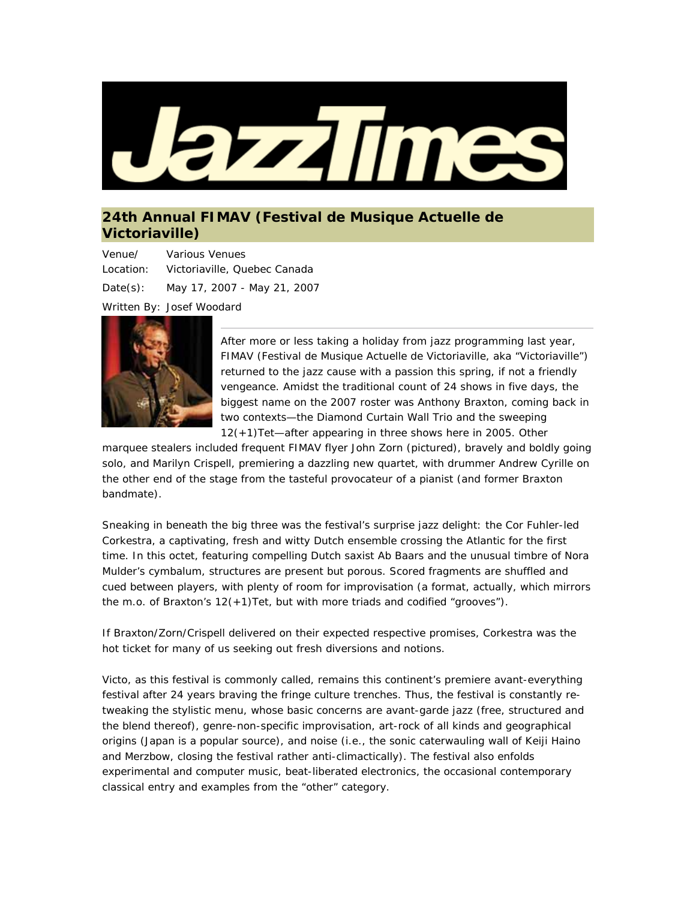

## **24th Annual FIMAV (Festival de Musique Actuelle de Victoriaville)**

Venue/ Location: Various Venues Victoriaville, Quebec Canada Date(s): May 17, 2007 - May 21, 2007 Written By: Josef Woodard



After more or less taking a holiday from jazz programming last year, FIMAV (Festival de Musique Actuelle de Victoriaville, aka "Victoriaville") returned to the jazz cause with a passion this spring, if not a friendly vengeance. Amidst the traditional count of 24 shows in five days, the biggest name on the 2007 roster was Anthony Braxton, coming back in two contexts—the Diamond Curtain Wall Trio and the sweeping 12(+1)Tet—after appearing in three shows here in 2005. Other

marquee stealers included frequent FIMAV flyer John Zorn (pictured), bravely and boldly going solo, and Marilyn Crispell, premiering a dazzling new quartet, with drummer Andrew Cyrille on the other end of the stage from the tasteful provocateur of a pianist (and former Braxton bandmate).

Sneaking in beneath the big three was the festival's surprise jazz delight: the Cor Fuhler-led Corkestra, a captivating, fresh and witty Dutch ensemble crossing the Atlantic for the first time. In this octet, featuring compelling Dutch saxist Ab Baars and the unusual timbre of Nora Mulder's cymbalum, structures are present but porous. Scored fragments are shuffled and cued between players, with plenty of room for improvisation (a format, actually, which mirrors the m.o. of Braxton's 12(+1)Tet, but with more triads and codified "grooves").

If Braxton/Zorn/Crispell delivered on their expected respective promises, Corkestra was the hot ticket for many of us seeking out fresh diversions and notions.

Victo, as this festival is commonly called, remains this continent's premiere avant-everything festival after 24 years braving the fringe culture trenches. Thus, the festival is constantly retweaking the stylistic menu, whose basic concerns are avant-garde jazz (free, structured and the blend thereof), genre-non-specific improvisation, art-rock of all kinds and geographical origins (Japan is a popular source), and noise (i.e., the sonic caterwauling wall of Keiji Haino and Merzbow, closing the festival rather anti-climactically). The festival also enfolds experimental and computer music, beat-liberated electronics, the occasional contemporary classical entry and examples from the "other" category.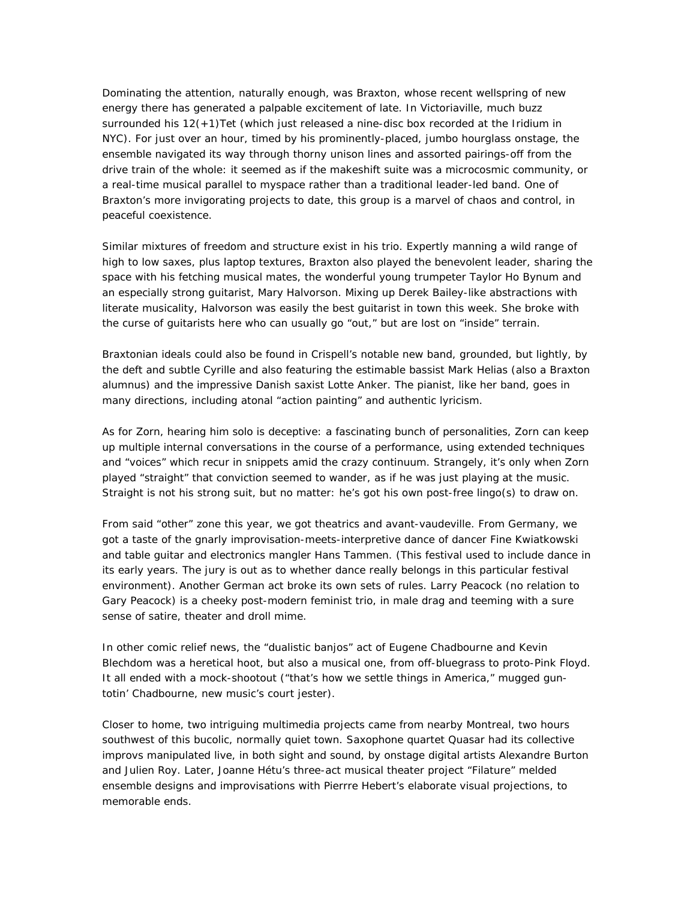Dominating the attention, naturally enough, was Braxton, whose recent wellspring of new energy there has generated a palpable excitement of late. In Victoriaville, much buzz surrounded his 12(+1)Tet (which just released a nine-disc box recorded at the Iridium in NYC). For just over an hour, timed by his prominently-placed, jumbo hourglass onstage, the ensemble navigated its way through thorny unison lines and assorted pairings-off from the drive train of the whole: it seemed as if the makeshift suite was a microcosmic community, or a real-time musical parallel to myspace rather than a traditional leader-led band. One of Braxton's more invigorating projects to date, this group is a marvel of chaos and control, in peaceful coexistence.

Similar mixtures of freedom and structure exist in his trio. Expertly manning a wild range of high to low saxes, plus laptop textures, Braxton also played the benevolent leader, sharing the space with his fetching musical mates, the wonderful young trumpeter Taylor Ho Bynum and an especially strong guitarist, Mary Halvorson. Mixing up Derek Bailey-like abstractions with literate musicality, Halvorson was easily the best guitarist in town this week. She broke with the curse of guitarists here who can usually go "out," but are lost on "inside" terrain.

Braxtonian ideals could also be found in Crispell's notable new band, grounded, but lightly, by the deft and subtle Cyrille and also featuring the estimable bassist Mark Helias (also a Braxton alumnus) and the impressive Danish saxist Lotte Anker. The pianist, like her band, goes in many directions, including atonal "action painting" and authentic lyricism.

As for Zorn, hearing him solo is deceptive: a fascinating bunch of personalities, Zorn can keep up multiple internal conversations in the course of a performance, using extended techniques and "voices" which recur in snippets amid the crazy continuum. Strangely, it's only when Zorn played "straight" that conviction seemed to wander, as if he was just playing *at* the music. Straight is not his strong suit, but no matter: he's got his own post-free lingo(s) to draw on.

From said "other" zone this year, we got theatrics and avant-vaudeville. From Germany, we got a taste of the gnarly improvisation-meets-interpretive dance of dancer Fine Kwiatkowski and table guitar and electronics mangler Hans Tammen. (This festival used to include dance in its early years. The jury is out as to whether dance really belongs in this particular festival environment). Another German act broke its own sets of rules. Larry Peacock (no relation to Gary Peacock) is a cheeky post-modern feminist trio, in male drag and teeming with a sure sense of satire, theater and droll mime.

In other comic relief news, the "dualistic banjos" act of Eugene Chadbourne and Kevin Blechdom was a heretical hoot, but also a musical one, from off-bluegrass to proto-Pink Floyd. It all ended with a mock-shootout ("that's how we settle things in America," mugged guntotin' Chadbourne, new music's court jester).

Closer to home, two intriguing multimedia projects came from nearby Montreal, two hours southwest of this bucolic, normally quiet town. Saxophone quartet Quasar had its collective improvs manipulated live, in both sight and sound, by onstage digital artists Alexandre Burton and Julien Roy. Later, Joanne Hétu's three-act musical theater project "Filature" melded ensemble designs and improvisations with Pierrre Hebert's elaborate visual projections, to memorable ends.